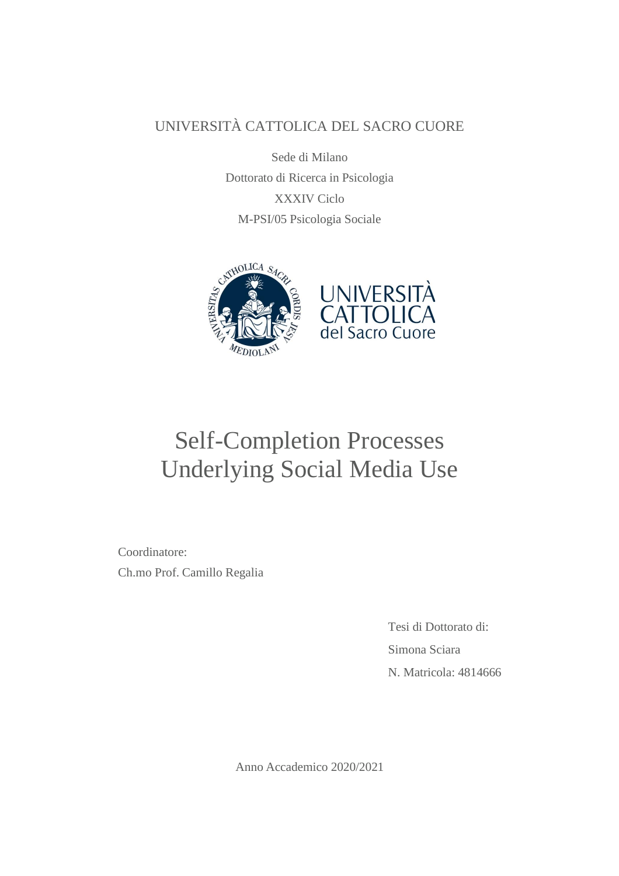## UNIVERSITÀ CATTOLICA DEL SACRO CUORE

Sede di Milano Dottorato di Ricerca in Psicologia XXXIV Ciclo M-PSI/05 Psicologia Sociale



# Self-Completion Processes Underlying Social Media Use

Coordinatore: Ch.mo Prof. Camillo Regalia

> Tesi di Dottorato di: Simona Sciara N. Matricola: 4814666

Anno Accademico 2020/2021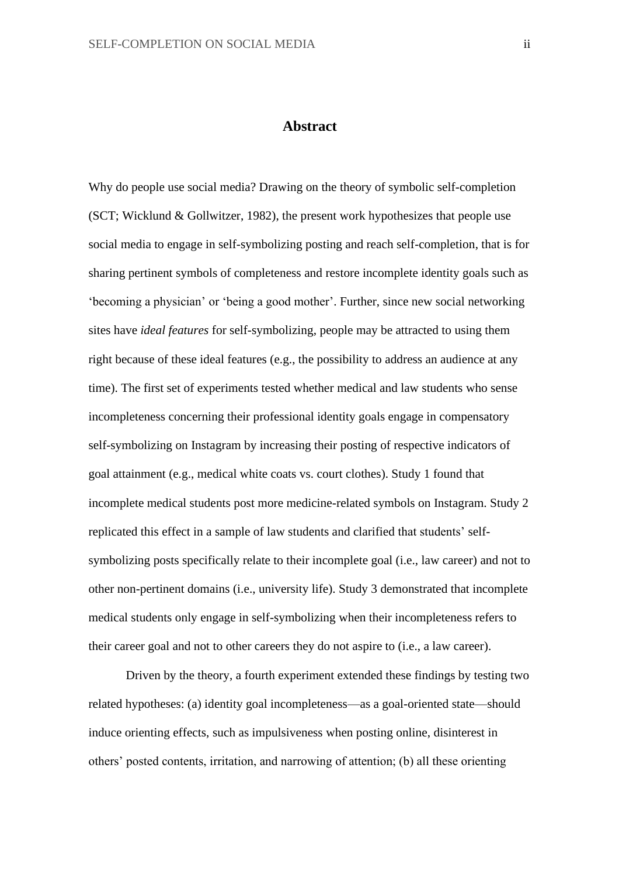#### **Abstract**

Why do people use social media? Drawing on the theory of symbolic self-completion (SCT; Wicklund & Gollwitzer, 1982), the present work hypothesizes that people use social media to engage in self-symbolizing posting and reach self-completion, that is for sharing pertinent symbols of completeness and restore incomplete identity goals such as 'becoming a physician' or 'being a good mother'. Further, since new social networking sites have *ideal features* for self-symbolizing, people may be attracted to using them right because of these ideal features (e.g., the possibility to address an audience at any time). The first set of experiments tested whether medical and law students who sense incompleteness concerning their professional identity goals engage in compensatory self-symbolizing on Instagram by increasing their posting of respective indicators of goal attainment (e.g., medical white coats vs. court clothes). Study 1 found that incomplete medical students post more medicine-related symbols on Instagram. Study 2 replicated this effect in a sample of law students and clarified that students' selfsymbolizing posts specifically relate to their incomplete goal (i.e., law career) and not to other non-pertinent domains (i.e., university life). Study 3 demonstrated that incomplete medical students only engage in self-symbolizing when their incompleteness refers to their career goal and not to other careers they do not aspire to (i.e., a law career).

Driven by the theory, a fourth experiment extended these findings by testing two related hypotheses: (a) identity goal incompleteness—as a goal-oriented state—should induce orienting effects, such as impulsiveness when posting online, disinterest in others' posted contents, irritation, and narrowing of attention; (b) all these orienting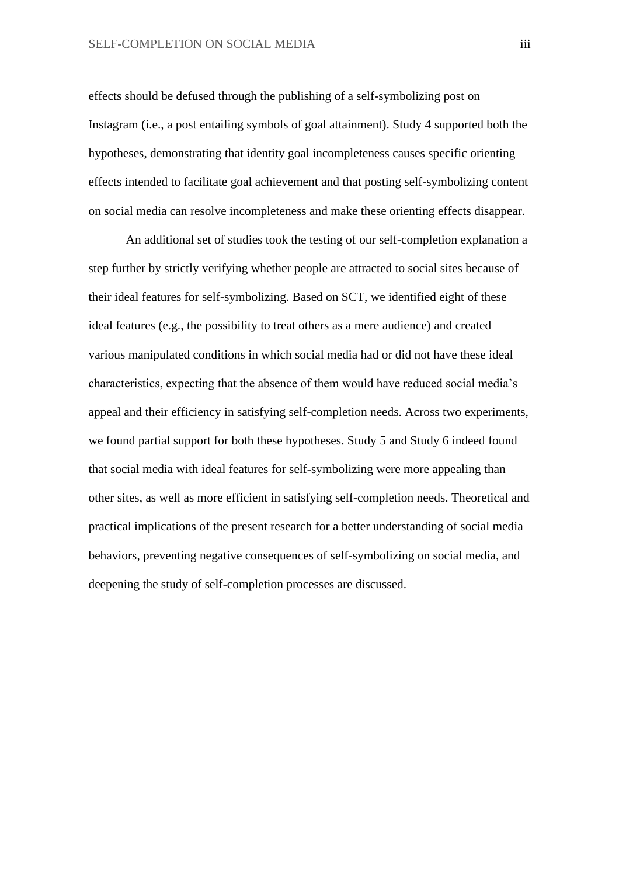effects should be defused through the publishing of a self-symbolizing post on Instagram (i.e., a post entailing symbols of goal attainment). Study 4 supported both the hypotheses, demonstrating that identity goal incompleteness causes specific orienting effects intended to facilitate goal achievement and that posting self-symbolizing content on social media can resolve incompleteness and make these orienting effects disappear.

An additional set of studies took the testing of our self-completion explanation a step further by strictly verifying whether people are attracted to social sites because of their ideal features for self-symbolizing. Based on SCT, we identified eight of these ideal features (e.g., the possibility to treat others as a mere audience) and created various manipulated conditions in which social media had or did not have these ideal characteristics, expecting that the absence of them would have reduced social media's appeal and their efficiency in satisfying self-completion needs. Across two experiments, we found partial support for both these hypotheses. Study 5 and Study 6 indeed found that social media with ideal features for self-symbolizing were more appealing than other sites, as well as more efficient in satisfying self-completion needs. Theoretical and practical implications of the present research for a better understanding of social media behaviors, preventing negative consequences of self-symbolizing on social media, and deepening the study of self-completion processes are discussed.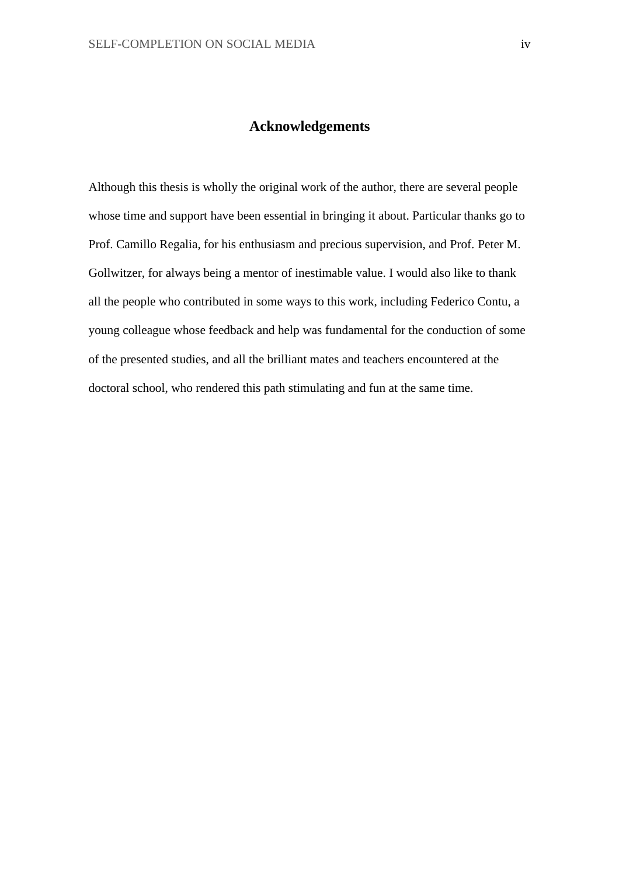#### **Acknowledgements**

Although this thesis is wholly the original work of the author, there are several people whose time and support have been essential in bringing it about. Particular thanks go to Prof. Camillo Regalia, for his enthusiasm and precious supervision, and Prof. Peter M. Gollwitzer, for always being a mentor of inestimable value. I would also like to thank all the people who contributed in some ways to this work, including Federico Contu, a young colleague whose feedback and help was fundamental for the conduction of some of the presented studies, and all the brilliant mates and teachers encountered at the doctoral school, who rendered this path stimulating and fun at the same time.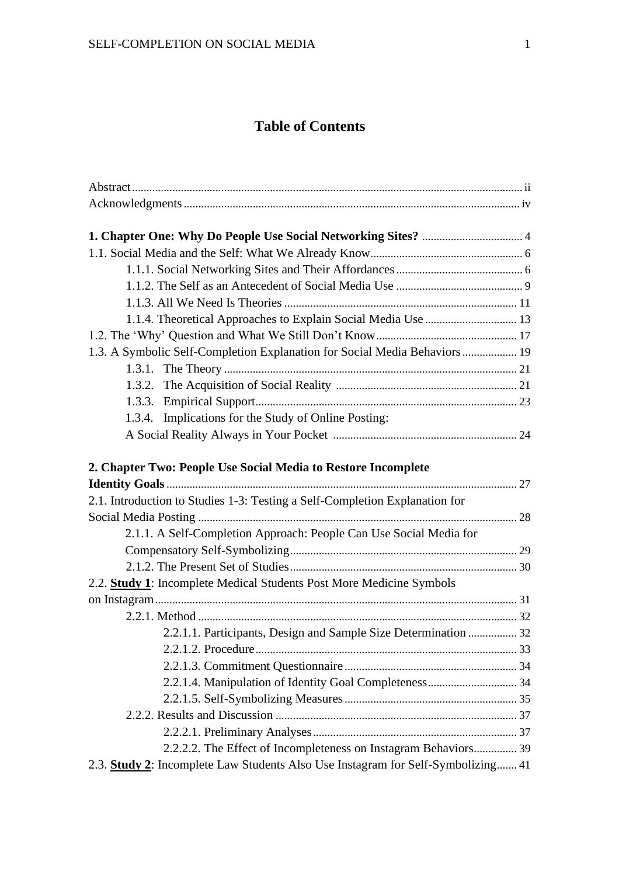### **Table of Contents**

| 1.1.4. Theoretical Approaches to Explain Social Media Use  13                    |  |
|----------------------------------------------------------------------------------|--|
|                                                                                  |  |
| 1.3. A Symbolic Self-Completion Explanation for Social Media Behaviors  19       |  |
|                                                                                  |  |
|                                                                                  |  |
|                                                                                  |  |
| 1.3.4. Implications for the Study of Online Posting:                             |  |
|                                                                                  |  |
| 2. Chapter Two: People Use Social Media to Restore Incomplete                    |  |
|                                                                                  |  |
| 2.1. Introduction to Studies 1-3: Testing a Self-Completion Explanation for      |  |
|                                                                                  |  |
| 2.1.1. A Self-Completion Approach: People Can Use Social Media for               |  |
|                                                                                  |  |
|                                                                                  |  |
| 2.2. Study 1: Incomplete Medical Students Post More Medicine Symbols             |  |
|                                                                                  |  |
|                                                                                  |  |
| 2.2.1.1. Participants, Design and Sample Size Determination  32                  |  |
|                                                                                  |  |
|                                                                                  |  |
|                                                                                  |  |
|                                                                                  |  |
|                                                                                  |  |
|                                                                                  |  |
| 2.2.2.2. The Effect of Incompleteness on Instagram Behaviors 39                  |  |
| 2.3. Study 2: Incomplete Law Students Also Use Instagram for Self-Symbolizing 41 |  |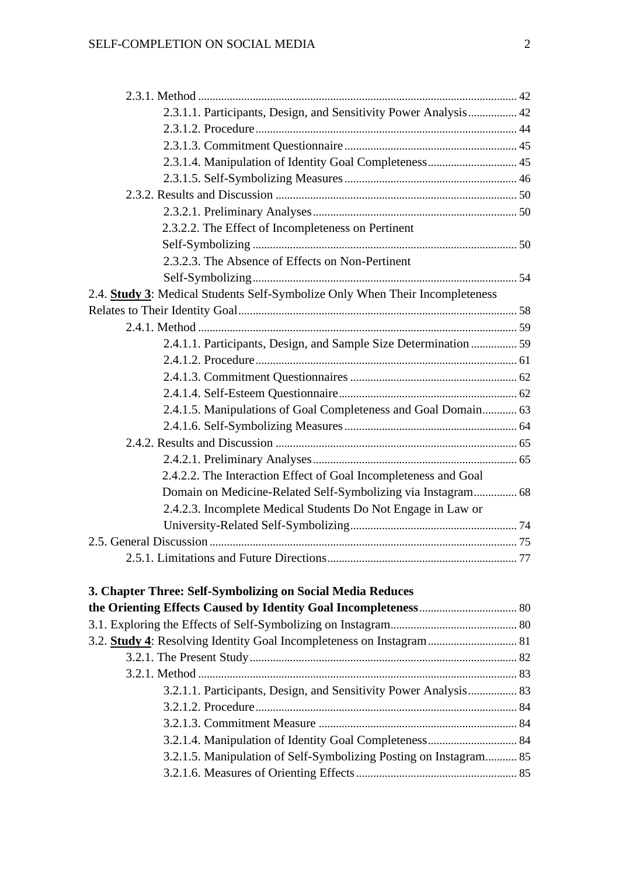| 2.3.1.1. Participants, Design, and Sensitivity Power Analysis 42             |  |
|------------------------------------------------------------------------------|--|
|                                                                              |  |
|                                                                              |  |
|                                                                              |  |
|                                                                              |  |
|                                                                              |  |
|                                                                              |  |
| 2.3.2.2. The Effect of Incompleteness on Pertinent                           |  |
|                                                                              |  |
| 2.3.2.3. The Absence of Effects on Non-Pertinent                             |  |
|                                                                              |  |
| 2.4. Study 3: Medical Students Self-Symbolize Only When Their Incompleteness |  |
|                                                                              |  |
|                                                                              |  |
| 2.4.1.1. Participants, Design, and Sample Size Determination  59             |  |
|                                                                              |  |
|                                                                              |  |
|                                                                              |  |
| 2.4.1.5. Manipulations of Goal Completeness and Goal Domain 63               |  |
|                                                                              |  |
|                                                                              |  |
|                                                                              |  |
| 2.4.2.2. The Interaction Effect of Goal Incompleteness and Goal              |  |
| Domain on Medicine-Related Self-Symbolizing via Instagram 68                 |  |
| 2.4.2.3. Incomplete Medical Students Do Not Engage in Law or                 |  |
|                                                                              |  |
|                                                                              |  |
|                                                                              |  |
| 3. Chapter Three: Self-Symbolizing on Social Media Reduces                   |  |
|                                                                              |  |
|                                                                              |  |
| 3.2. Study 4: Resolving Identity Goal Incompleteness on Instagram  81        |  |
|                                                                              |  |
|                                                                              |  |
| 3.2.1.1. Participants, Design, and Sensitivity Power Analysis 83             |  |
|                                                                              |  |
|                                                                              |  |
|                                                                              |  |
| 3.2.1.5. Manipulation of Self-Symbolizing Posting on Instagram 85            |  |
|                                                                              |  |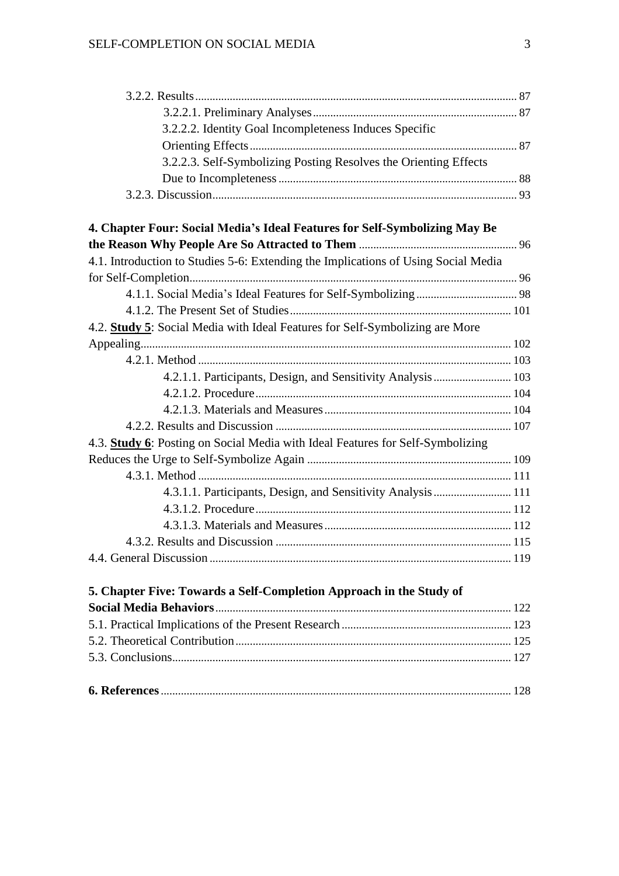| 3.2.2.2. Identity Goal Incompleteness Induces Specific                             |  |
|------------------------------------------------------------------------------------|--|
|                                                                                    |  |
| 3.2.2.3. Self-Symbolizing Posting Resolves the Orienting Effects                   |  |
|                                                                                    |  |
|                                                                                    |  |
| 4. Chapter Four: Social Media's Ideal Features for Self-Symbolizing May Be         |  |
|                                                                                    |  |
| 4.1. Introduction to Studies 5-6: Extending the Implications of Using Social Media |  |
|                                                                                    |  |
|                                                                                    |  |
|                                                                                    |  |
| 4.2. Study 5: Social Media with Ideal Features for Self-Symbolizing are More       |  |
|                                                                                    |  |
|                                                                                    |  |
| 4.2.1.1. Participants, Design, and Sensitivity Analysis  103                       |  |
|                                                                                    |  |
|                                                                                    |  |
|                                                                                    |  |
| 4.3. Study 6: Posting on Social Media with Ideal Features for Self-Symbolizing     |  |
|                                                                                    |  |
|                                                                                    |  |
| 4.3.1.1. Participants, Design, and Sensitivity Analysis  111                       |  |
|                                                                                    |  |
|                                                                                    |  |
|                                                                                    |  |
|                                                                                    |  |
| 5. Chapter Five: Towards a Self-Completion Approach in the Study of                |  |
|                                                                                    |  |
|                                                                                    |  |
|                                                                                    |  |
|                                                                                    |  |
|                                                                                    |  |
|                                                                                    |  |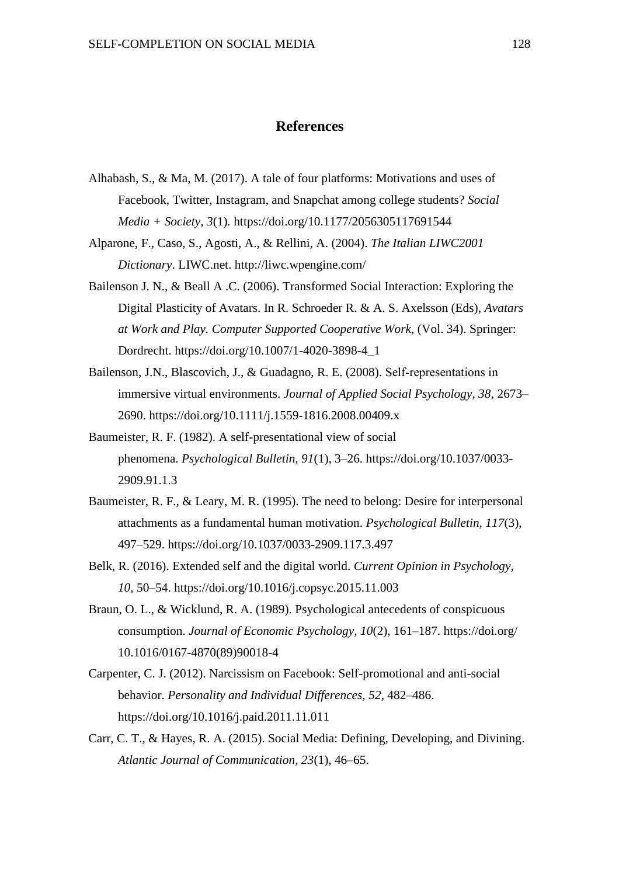#### **References**

- Alhabash, S., & Ma, M. (2017). A tale of four platforms: Motivations and uses of Facebook, Twitter, Instagram, and Snapchat among college students? *Social Media + Society, 3*(1)*.* https://doi.org/10.1177/2056305117691544
- Alparone, F., Caso, S., Agosti, A., & Rellini, A. (2004). *The Italian LIWC2001 Dictionary*. LIWC.net. <http://liwc.wpengine.com/>
- Bailenson J. N., & Beall A .C. (2006). Transformed Social Interaction: Exploring the Digital Plasticity of Avatars. In R. Schroeder R. & A. S. Axelsson (Eds), *Avatars at Work and Play. Computer Supported Cooperative Work,* (Vol. 34). Springer: Dordrecht. https://doi.org/10.1007/1-4020-3898-4\_1
- Bailenson, J.N., Blascovich, J., & Guadagno, R. E. (2008). Self-representations in immersive virtual environments. *Journal of Applied Social Psychology, 38*, 2673– 2690. https://doi.org/10.1111/j.1559-1816.2008.00409.x
- Baumeister, R. F. (1982). A self-presentational view of social phenomena. *Psychological Bulletin, 91*(1), 3–26. [https://doi.org/10.1037/0033-](https://psycnet.apa.org/doi/10.1037/0033-2909.91.1.3) [2909.91.1.3](https://psycnet.apa.org/doi/10.1037/0033-2909.91.1.3)
- Baumeister, R. F., & Leary, M. R. (1995). The need to belong: Desire for interpersonal attachments as a fundamental human motivation. *Psychological Bulletin, 117*(3), 497–529. https://doi.org/10.1037/0033-2909.117.3.497
- Belk, R. (2016). Extended self and the digital world. *Current Opinion in Psychology, 10*, 50–54. https://doi.org/10.1016/j.copsyc.2015.11.003
- Braun, O. L., & Wicklund, R. A. (1989). Psychological antecedents of conspicuous consumption. *Journal of Economic Psychology, 10*(2), 161–187. https://doi.org/ 10.1016/0167-4870(89)90018-4
- Carpenter, C. J. (2012). Narcissism on Facebook: Self-promotional and anti-social behavior. *Personality and Individual Differences, 52*, 482–486. https://doi.org/10.1016/j.paid.2011.11.011
- Carr, C. T., & Hayes, R. A. (2015). Social Media: Defining, Developing, and Divining. *Atlantic Journal of Communication, 23*(1), 46–65.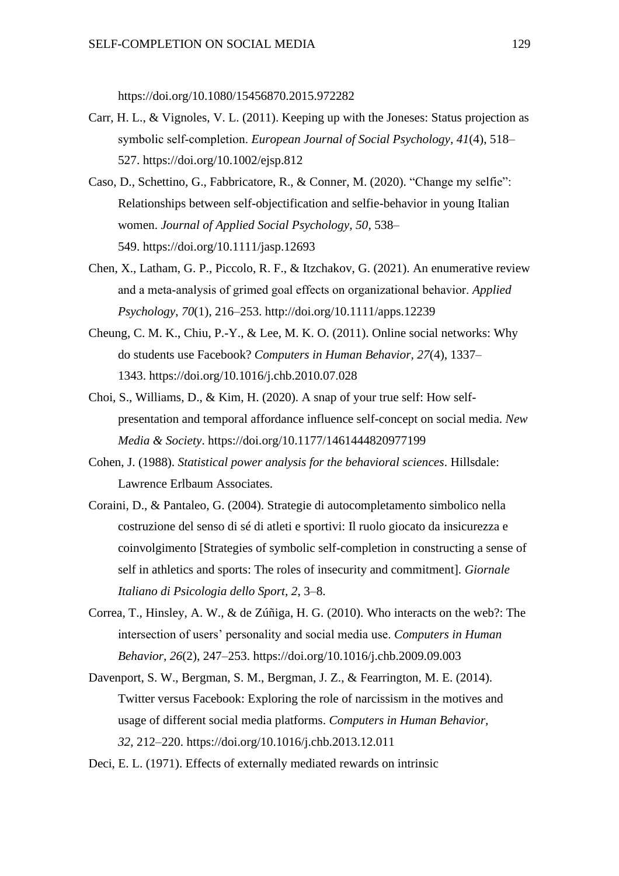https://doi.org/10.1080/15456870.2015.972282

- Carr, H. L., & Vignoles, V. L. (2011). Keeping up with the Joneses: Status projection as symbolic self‐completion. *European Journal of Social Psychology, 41*(4), 518– 527. https://doi.org/10.1002/ejsp.812
- Caso, D., Schettino, G., Fabbricatore, R., & Conner, M. (2020). "Change my selfie": Relationships between self-objectification and selfie-behavior in young Italian women. *Journal of Applied Social Psychology, 50,* 538– 549. <https://doi.org/10.1111/jasp.12693>
- Chen, X., Latham, G. P., Piccolo, R. F., & Itzchakov, G. (2021). An enumerative review and a meta‐analysis of grimed goal effects on organizational behavior. *Applied Psychology, 70*(1), 216–253. http://doi.org/10.1111/apps.12239
- Cheung, C. M. K., Chiu, P.-Y., & Lee, M. K. O. (2011). Online social networks: Why do students use Facebook? *Computers in Human Behavior, 27*(4), 1337– 1343. [https://doi.org/10.1016/j.chb.2010.07.028](https://psycnet.apa.org/doi/10.1016/j.chb.2010.07.028)
- Choi, S., Williams, D., & Kim, H. (2020). A snap of your true self: How selfpresentation and temporal affordance influence self-concept on social media. *New Media & Society*. https://doi.org/10.1177/1461444820977199
- Cohen, J. (1988). *Statistical power analysis for the behavioral sciences*. Hillsdale: Lawrence Erlbaum Associates.
- Coraini, D., & Pantaleo, G. (2004). Strategie di autocompletamento simbolico nella costruzione del senso di sé di atleti e sportivi: Il ruolo giocato da insicurezza e coinvolgimento [Strategies of symbolic self-completion in constructing a sense of self in athletics and sports: The roles of insecurity and commitment]. *Giornale Italiano di Psicologia dello Sport, 2*, 3–8.
- Correa, T., Hinsley, A. W., & de Zúñiga, H. G. (2010). Who interacts on the web?: The intersection of users' personality and social media use. *Computers in Human Behavior, 26*(2), 247–253. [https://doi.org/10.1016/j.chb.2009.09.003](https://psycnet.apa.org/doi/10.1016/j.chb.2009.09.003)
- Davenport, S. W., Bergman, S. M., Bergman, J. Z., & Fearrington, M. E. (2014). Twitter versus Facebook: Exploring the role of narcissism in the motives and usage of different social media platforms. *Computers in Human Behavior, 32,* 212–220. [https://doi.org/10.1016/j.chb.2013.12.011](https://psycnet.apa.org/doi/10.1016/j.chb.2013.12.011)

Deci, E. L. (1971). Effects of externally mediated rewards on intrinsic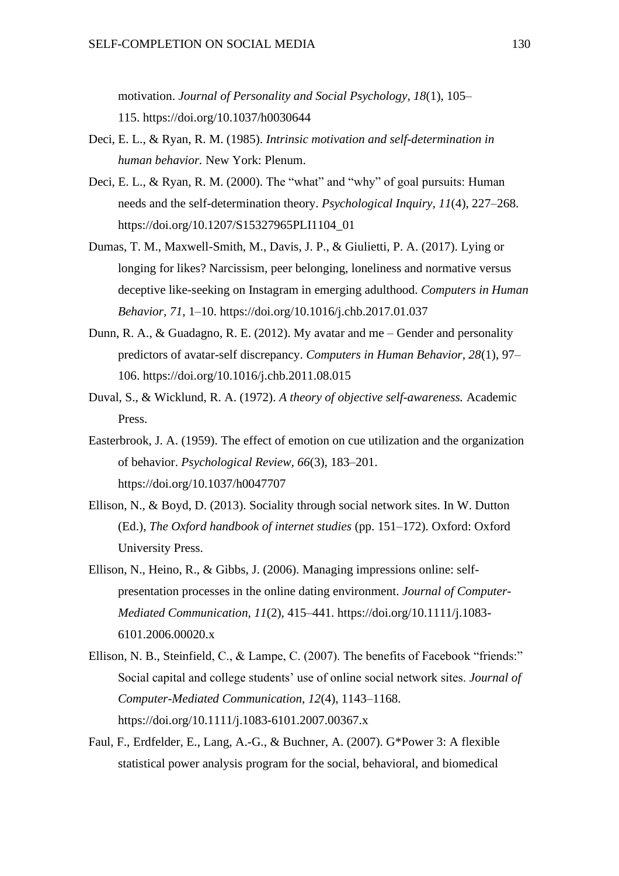motivation. *Journal of Personality and Social Psychology, 18*(1), 105– 115. [https://doi.org/10.1037/h0030644](https://content.apa.org/doi/10.1037/h0030644)

- Deci, E. L., & Ryan, R. M. (1985). *Intrinsic motivation and self-determination in human behavior.* New York: Plenum.
- Deci, E. L., & Ryan, R. M. (2000). The "what" and "why" of goal pursuits: Human needs and the self-determination theory. *Psychological Inquiry, 11*(4), 227–268. https://doi.org/10.1207/S15327965PLI1104\_01
- Dumas, T. M., Maxwell-Smith, M., Davis, J. P., & Giulietti, P. A. (2017). Lying or longing for likes? Narcissism, peer belonging, loneliness and normative versus deceptive like-seeking on Instagram in emerging adulthood. *Computers in Human Behavior, 71*, 1–10. https://doi.org/10.1016/j.chb.2017.01.037
- Dunn, R. A., & Guadagno, R. E. (2012). My avatar and me Gender and personality predictors of avatar-self discrepancy. *Computers in Human Behavior, 28*(1), 97– 106. https://doi.org/10.1016/j.chb.2011.08.015
- Duval, S., & Wicklund, R. A. (1972). *A theory of objective self-awareness.* Academic Press.
- Easterbrook, J. A. (1959). The effect of emotion on cue utilization and the organization of behavior. *Psychological Review, 66*(3), 183–201. https://doi.org/10.1037/h0047707
- Ellison, N., & Boyd, D. (2013). Sociality through social network sites. In W. Dutton (Ed.), *The Oxford handbook of internet studies* (pp. 151–172). Oxford: Oxford University Press.
- Ellison, N., Heino, R., & Gibbs, J. (2006). Managing impressions online: selfpresentation processes in the online dating environment. *Journal of Computer-Mediated Communication, 11*(2), 415–441. https://doi.org/10.1111/j.1083- 6101.2006.00020.x
- Ellison, N. B., Steinfield, C., & Lampe, C. (2007). The benefits of Facebook "friends:" Social capital and college students' use of online social network sites. *Journal of Computer-Mediated Communication, 12*(4), 1143–1168. https://doi.org/10.1111/j.1083-6101.2007.00367.x
- Faul, F., Erdfelder, E., Lang, A.-G., & Buchner, A. (2007). G\*Power 3: A flexible statistical power analysis program for the social, behavioral, and biomedical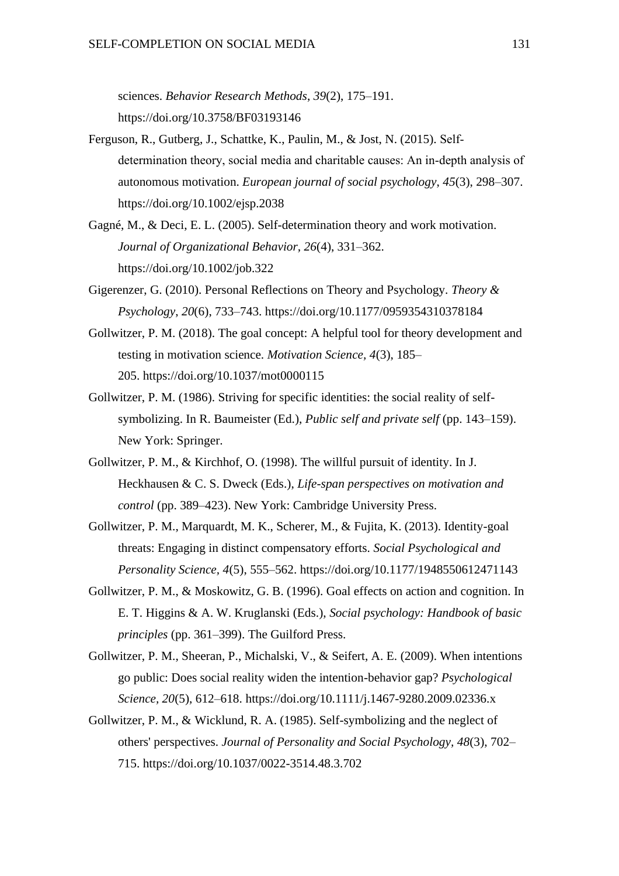sciences. *Behavior Research Methods*, *39*(2), 175–191. <https://doi.org/10.3758/BF03193146>

- Ferguson, R., Gutberg, J., Schattke, K., Paulin, M., & Jost, N. (2015). Self‐ determination theory, social media and charitable causes: An in‐depth analysis of autonomous motivation. *European journal of social psychology*, *45*(3), 298–307. https://doi.org/10.1002/ejsp.2038
- Gagné, M., & Deci, E. L. (2005). Self-determination theory and work motivation. *Journal of Organizational Behavior, 26*(4), 331–362. https://doi.org/10.1002/job.322
- Gigerenzer, G. (2010). Personal Reflections on Theory and Psychology. *Theory & Psychology*, *20*(6), 733–743. <https://doi.org/10.1177/0959354310378184>
- Gollwitzer, P. M. (2018). The goal concept: A helpful tool for theory development and testing in motivation science. *Motivation Science, 4*(3), 185– 205. [https://doi.org/10.1037/mot0000115](https://psycnet.apa.org/doi/10.1037/mot0000115)
- Gollwitzer, P. M. (1986). Striving for specific identities: the social reality of selfsymbolizing. In R. Baumeister (Ed.), *Public self and private self* (pp. 143–159). New York: Springer.
- Gollwitzer, P. M., & Kirchhof, O. (1998). The willful pursuit of identity. In J. Heckhausen & C. S. Dweck (Eds.), *Life-span perspectives on motivation and control* (pp. 389–423). New York: Cambridge University Press.
- Gollwitzer, P. M., Marquardt, M. K., Scherer, M., & Fujita, K. (2013). Identity-goal threats: Engaging in distinct compensatory efforts. *Social Psychological and Personality Science, 4*(5), 555–562. https://doi.org/10.1177/1948550612471143
- Gollwitzer, P. M., & Moskowitz, G. B. (1996). Goal effects on action and cognition. In E. T. Higgins & A. W. Kruglanski (Eds.), *Social psychology: Handbook of basic principles* (pp. 361–399). The Guilford Press.
- Gollwitzer, P. M., Sheeran, P., Michalski, V., & Seifert, A. E. (2009). When intentions go public: Does social reality widen the intention-behavior gap? *Psychological Science, 20*(5), 612–618. https://doi.org/10.1111/j.1467-9280.2009.02336.x
- Gollwitzer, P. M., & Wicklund, R. A. (1985). Self-symbolizing and the neglect of others' perspectives. *Journal of Personality and Social Psychology, 48*(3), 702– 715. https://doi.org/10.1037/0022-3514.48.3.702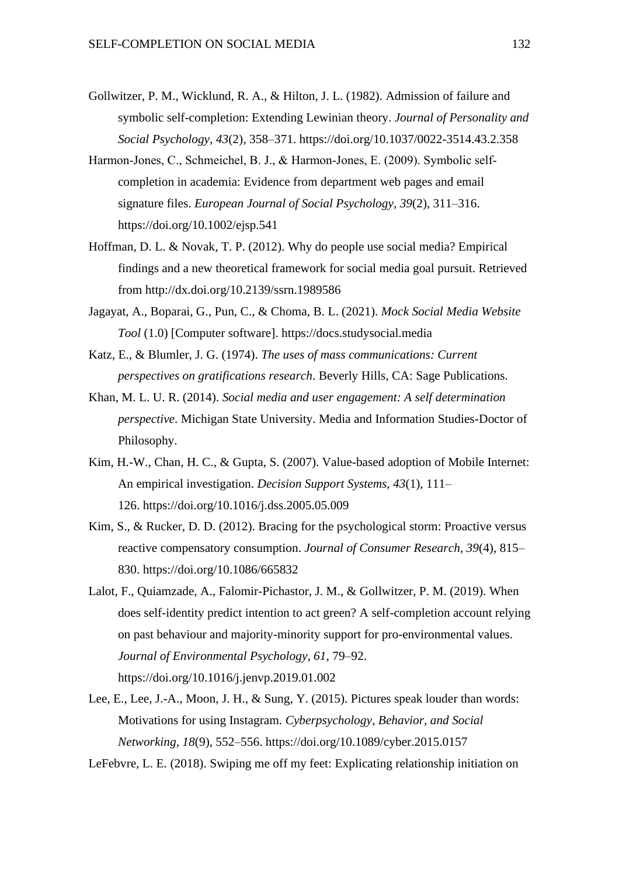- Gollwitzer, P. M., Wicklund, R. A., & Hilton, J. L. (1982). Admission of failure and symbolic self-completion: Extending Lewinian theory. *Journal of Personality and Social Psychology, 43*(2), 358–371. [https://doi.org/10.1037/0022-3514.43.2.358](http://dx.doi.org/10.1037/0022-3514.43.2%20.358)
- Harmon‐Jones, C., Schmeichel, B. J., & Harmon‐Jones, E. (2009). Symbolic self‐ completion in academia: Evidence from department web pages and email signature files. *European Journal of Social Psychology, 39*(2), 311–316. https://doi.org/10.1002/ejsp.541
- Hoffman, D. L. & Novak, T. P. (2012). Why do people use social media? Empirical findings and a new theoretical framework for social media goal pursuit. Retrieved from http://dx.doi.org/10.2139/ssrn.1989586
- Jagayat, A., Boparai, G., Pun, C., & Choma, B. L. (2021). *Mock Social Media Website Tool* (1.0) [Computer software]. [https://docs.studysocial.media](https://docs.studysocial.media/)
- Katz, E., & Blumler, J. G. (1974). *The uses of mass communications: Current perspectives on gratifications research*. Beverly Hills, CA: Sage Publications.
- Khan, M. L. U. R. (2014). *Social media and user engagement: A self determination perspective*. Michigan State University. Media and Information Studies-Doctor of Philosophy.
- Kim, H.-W., Chan, H. C., & Gupta, S. (2007). Value-based adoption of Mobile Internet: An empirical investigation. *Decision Support Systems, 43*(1), 111– 126. [https://doi.org/10.1016/j.dss.2005.05.009](https://psycnet.apa.org/doi/10.1016/j.dss.2005.05.009)
- Kim, S., & Rucker, D. D. (2012). Bracing for the psychological storm: Proactive versus reactive compensatory consumption. *Journal of Consumer Research, 39*(4), 815– 830. https://doi.org/10.1086/665832
- Lalot, F., Quiamzade, A., Falomir-Pichastor, J. M., & Gollwitzer, P. M. (2019). When does self-identity predict intention to act green? A self-completion account relying on past behaviour and majority-minority support for pro-environmental values. *Journal of Environmental Psychology, 61*, 79–92. https://doi.org/10.1016/j.jenvp.2019.01.002
- Lee, E., Lee, J.-A., Moon, J. H., & Sung, Y. (2015). Pictures speak louder than words: Motivations for using Instagram. *Cyberpsychology, Behavior, and Social Networking, 18*(9), 552–556. https://doi.org/10.1089/cyber.2015.0157

LeFebvre, L. E. (2018). Swiping me off my feet: Explicating relationship initiation on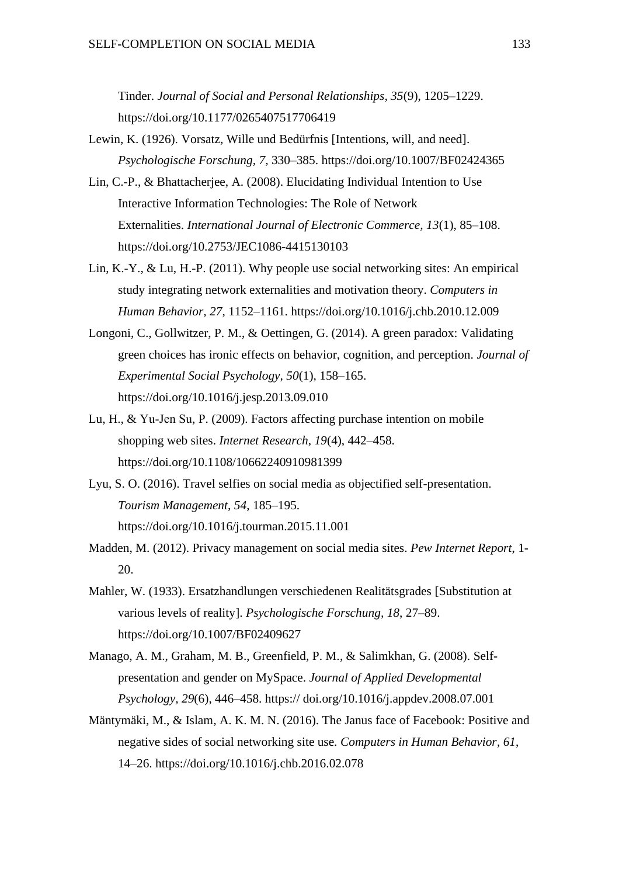Tinder. *Journal of Social and Personal Relationships, 35*(9), 1205–1229. https://doi.org/10.1177/0265407517706419

- Lewin, K. (1926). Vorsatz, Wille und Bedürfnis [Intentions, will, and need]. *Psychologische Forschung, 7*, 330–385. https://doi.org/10.1007/BF02424365
- Lin, C.-P., & Bhattacherjee, A. (2008). Elucidating Individual Intention to Use Interactive Information Technologies: The Role of Network Externalities. *International Journal of Electronic Commerce, 13*(1), 85–108. https://doi.org[/10.2753/JEC1086-4415130103](https://doi.org/10.2753/JEC1086-4415130103)
- Lin, K.-Y., & Lu, H.-P. (2011). Why people use social networking sites: An empirical study integrating network externalities and motivation theory. *Computers in Human Behavior, 27*, 1152–1161. https://doi.org/10.1016/j.chb.2010.12.009
- Longoni, C., Gollwitzer, P. M., & Oettingen, G. (2014). A green paradox: Validating green choices has ironic effects on behavior, cognition, and perception. *Journal of Experimental Social Psychology, 50*(1), 158–165. https://doi.org/10.1016/j.jesp.2013.09.010
- Lu, H., & Yu‐Jen Su, P. (2009). Factors affecting purchase intention on mobile shopping web sites. *Internet Research, 19*(4), 442–458. <https://doi.org/10.1108/10662240910981399>
- Lyu, S. O. (2016). Travel selfies on social media as objectified self-presentation. *Tourism Management, 54*, 185–195. https://doi.org/10.1016/j.tourman.2015.11.001
- Madden, M. (2012). Privacy management on social media sites. *Pew Internet Report*, 1- 20.
- Mahler, W. (1933). Ersatzhandlungen verschiedenen Realitätsgrades [Substitution at various levels of reality]. *Psychologische Forschung, 18*, 27–89. https://doi.org/10.1007/BF02409627
- Manago, A. M., Graham, M. B., Greenfield, P. M., & Salimkhan, G. (2008). Selfpresentation and gender on MySpace. *Journal of Applied Developmental Psychology, 29*(6), 446–458. https:// doi.org/10.1016/j.appdev.2008.07.001
- Mäntymäki, M., & Islam, A. K. M. N. (2016). The Janus face of Facebook: Positive and negative sides of social networking site use. *Computers in Human Behavior, 61*, 14–26. https://doi.org/10.1016/j.chb.2016.02.078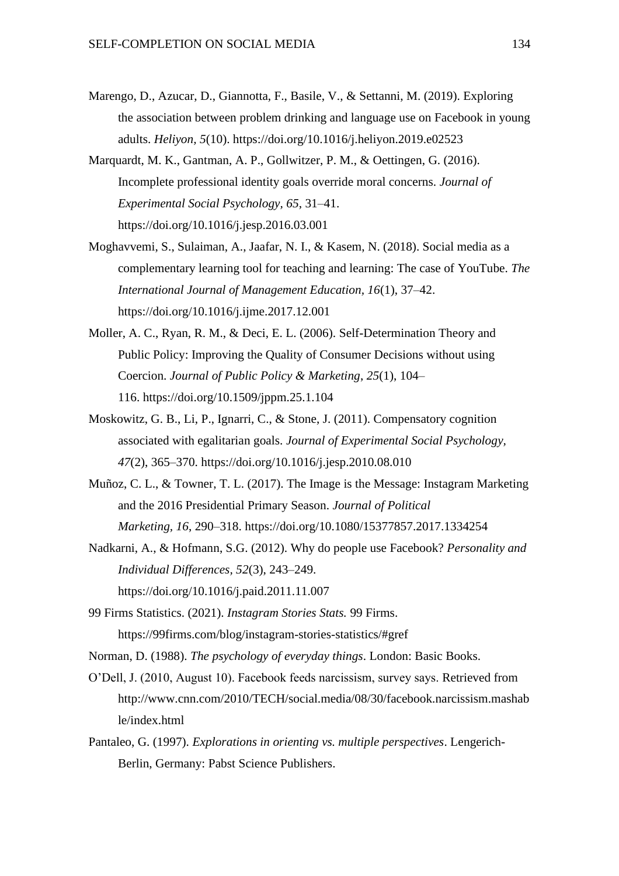- Marengo, D., Azucar, D., Giannotta, F., Basile, V., & Settanni, M. (2019). Exploring the association between problem drinking and language use on Facebook in young adults. *Heliyon, 5*(10). https://doi.org/10.1016/j.heliyon.2019.e02523
- Marquardt, M. K., Gantman, A. P., Gollwitzer, P. M., & Oettingen, G. (2016). Incomplete professional identity goals override moral concerns. *Journal of Experimental Social Psychology, 65*, 31–41. https://doi.org/10.1016/j.jesp.2016.03.001
- Moghavvemi, S., Sulaiman, A., Jaafar, N. I., & Kasem, N. (2018). Social media as a complementary learning tool for teaching and learning: The case of YouTube. *The International Journal of Management Education, 16*(1), 37–42. https://doi.org/10.1016/j.ijme.2017.12.001
- Moller, A. C., Ryan, R. M., & Deci, E. L. (2006). Self-Determination Theory and Public Policy: Improving the Quality of Consumer Decisions without using Coercion. *Journal of Public Policy & Marketing*, *25*(1), 104– 116. <https://doi.org/10.1509/jppm.25.1.104>
- Moskowitz, G. B., Li, P., Ignarri, C., & Stone, J. (2011). Compensatory cognition associated with egalitarian goals. *Journal of Experimental Social Psychology, 47*(2), 365–370. [https://doi.org/10.1016/j.jesp.2010.08.010](https://psycnet.apa.org/doi/10.1016/j.jesp.2010.08.010)
- Muñoz, C. L., & Towner, T. L. (2017). The Image is the Message: Instagram Marketing and the 2016 Presidential Primary Season. *Journal of Political Marketing, 16*, 290–318. https://doi.org[/10.1080/15377857.2017.1334254](https://doi.org/10.1080/15377857.2017.1334254)
- Nadkarni, A., & Hofmann, S.G. (2012). Why do people use Facebook? *Personality and Individual Differences, 52*(3), 243–249. https://doi.org/10.1016/j.paid.2011.11.007
- 99 Firms Statistics. (2021). *Instagram Stories Stats.* 99 Firms. https://99firms.com/blog/instagram-stories-statistics/#gref
- Norman, D. (1988). *The psychology of everyday things*. London: Basic Books.
- O'Dell, J. (2010, August 10). Facebook feeds narcissism, survey says. Retrieved from http://www.cnn.com/2010/TECH/social.media/08/30/facebook.narcissism.mashab le/index.html
- Pantaleo, G. (1997). *Explorations in orienting vs. multiple perspectives*. Lengerich-Berlin, Germany: Pabst Science Publishers.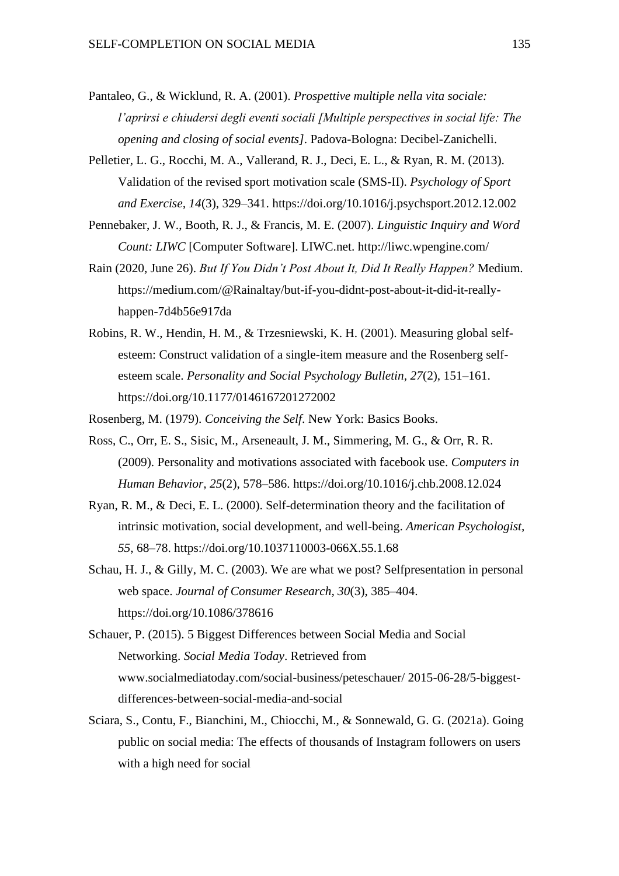- Pantaleo, G., & Wicklund, R. A. (2001). *Prospettive multiple nella vita sociale: l'aprirsi e chiudersi degli eventi sociali [Multiple perspectives in social life: The opening and closing of social events]*. Padova-Bologna: Decibel-Zanichelli.
- Pelletier, L. G., Rocchi, M. A., Vallerand, R. J., Deci, E. L., & Ryan, R. M. (2013). Validation of the revised sport motivation scale (SMS-II). *Psychology of Sport and Exercise, 14*(3), 329–341. [https://doi.org/10.1016/j.psychsport.2012.12.002](https://psycnet.apa.org/doi/10.1016/j.psychsport.2012.12.002)
- Pennebaker, J. W., Booth, R. J., & Francis, M. E. (2007). *Linguistic Inquiry and Word Count: LIWC* [Computer Software]. LIWC.net. http://liwc.wpengine.com/
- Rain (2020, June 26). *But If You Didn't Post About It, Did It Really Happen?* Medium. https://medium.com/@Rainaltay/but-if-you-didnt-post-about-it-did-it-reallyhappen-7d4b56e917da
- Robins, R. W., Hendin, H. M., & Trzesniewski, K. H. (2001). Measuring global selfesteem: Construct validation of a single-item measure and the Rosenberg selfesteem scale. *Personality and Social Psychology Bulletin, 27*(2), 151–161. https://doi.org/10.1177/0146167201272002

Rosenberg, M. (1979). *Conceiving the Self*. New York: Basics Books.

- Ross, C., Orr, E. S., Sisic, M., Arseneault, J. M., Simmering, M. G., & Orr, R. R. (2009). Personality and motivations associated with facebook use. *Computers in Human Behavior, 25*(2), 578–586. [https://doi.org/10.1016/j.chb.2008.12.024](https://psycnet.apa.org/doi/10.1016/j.chb.2008.12.024)
- Ryan, R. M., & Deci, E. L. (2000). Self-determination theory and the facilitation of intrinsic motivation, social development, and well-being. *American Psychologist, 55*, 68–78. https://doi.org/10.1037110003-066X.55.1.68
- Schau, H. J., & Gilly, M. C. (2003). We are what we post? Selfpresentation in personal web space. *Journal of Consumer Research, 30*(3), 385–404. https://doi.org/10.1086/378616
- Schauer, P. (2015). 5 Biggest Differences between Social Media and Social Networking. *Social Media Today*. Retrieved from www.socialmediatoday.com/social-business/peteschauer/ 2015-06-28/5-biggestdifferences-between-social-media-and-social
- Sciara, S., Contu, F., Bianchini, M., Chiocchi, M., & Sonnewald, G. G. (2021a). Going public on social media: The effects of thousands of Instagram followers on users with a high need for social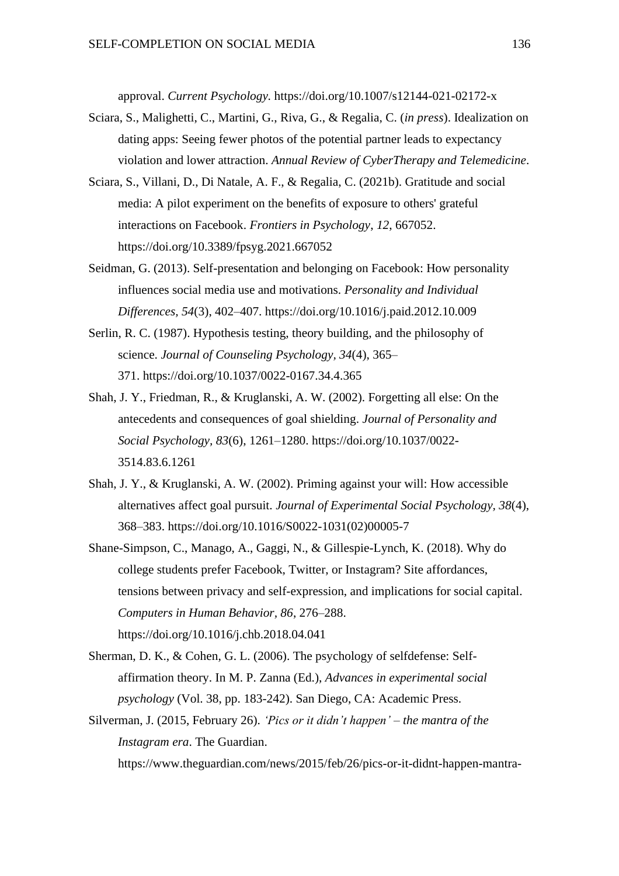approval. *Current Psychology.* [https://doi.org/10.1007/s12144-021-02172-x](https://eur02.safelinks.protection.outlook.com/?url=https%3A%2F%2Fdoi.org%2F10.1007%2Fs12144-021-02172-x&data=04%7C01%7Cg.sonnewald%40studenti.unisr.it%7Cbc8a1d7338fd4116779d08d957fd52bc%7C332da35133704472aaf7a03b2c9f58f8%7C0%7C0%7C637637568116419013%7CUnknown%7CTWFpbGZsb3d8eyJWIjoiMC4wLjAwMDAiLCJQIjoiV2luMzIiLCJBTiI6Ik1haWwiLCJXVCI6Mn0%3D%7C1000&sdata=BYdzzMa552FLDfU2%2FpSwtWgGztKkfyRvDiQ5oPnVXTU%3D&reserved=0)

- Sciara, S., Malighetti, C., Martini, G., Riva, G., & Regalia, C. (*in press*). Idealization on dating apps: Seeing fewer photos of the potential partner leads to expectancy violation and lower attraction. *Annual Review of CyberTherapy and Telemedicine*.
- Sciara, S., Villani, D., Di Natale, A. F., & Regalia, C. (2021b). Gratitude and social media: A pilot experiment on the benefits of exposure to others' grateful interactions on Facebook. *Frontiers in Psychology*, *12*, 667052. https://doi.org/10.3389/fpsyg.2021.667052
- Seidman, G. (2013). Self-presentation and belonging on Facebook: How personality influences social media use and motivations. *Personality and Individual Differences, 54*(3), 402–407. https://doi.org/10.1016/j.paid.2012.10.009
- Serlin, R. C. (1987). Hypothesis testing, theory building, and the philosophy of science. *Journal of Counseling Psychology, 34*(4), 365– 371. [https://doi.org/10.1037/0022-0167.34.4.365](https://psycnet.apa.org/doi/10.1037/0022-0167.34.4.365)
- Shah, J. Y., Friedman, R., & Kruglanski, A. W. (2002). Forgetting all else: On the antecedents and consequences of goal shielding. *Journal of Personality and Social Psychology, 83*(6), 1261–1280. [https://doi.org/10.1037/0022-](https://doi.apa.org/doi/10.1037/0022-3514.83.6.1261) [3514.83.6.1261](https://doi.apa.org/doi/10.1037/0022-3514.83.6.1261)
- Shah, J. Y., & Kruglanski, A. W. (2002). Priming against your will: How accessible alternatives affect goal pursuit. *Journal of Experimental Social Psychology, 38*(4), 368–383. [https://doi.org/10.1016/S0022-1031\(02\)00005-7](https://psycnet.apa.org/doi/10.1016/S0022-1031(02)00005-7)
- Shane-Simpson, C., Manago, A., Gaggi, N., & Gillespie-Lynch, K. (2018). Why do college students prefer Facebook, Twitter, or Instagram? Site affordances, tensions between privacy and self-expression, and implications for social capital. *Computers in Human Behavior, 86*, 276–288. https://doi.org/10.1016/j.chb.2018.04.041
- Sherman, D. K., & Cohen, G. L. (2006). The psychology of selfdefense: Selfaffirmation theory. In M. P. Zanna (Ed.), *Advances in experimental social psychology* (Vol. 38, pp. 183-242). San Diego, CA: Academic Press.
- Silverman, J. (2015, February 26). *'Pics or it didn't happen' – the mantra of the Instagram era*. The Guardian. https://www.theguardian.com/news/2015/feb/26/pics-or-it-didnt-happen-mantra-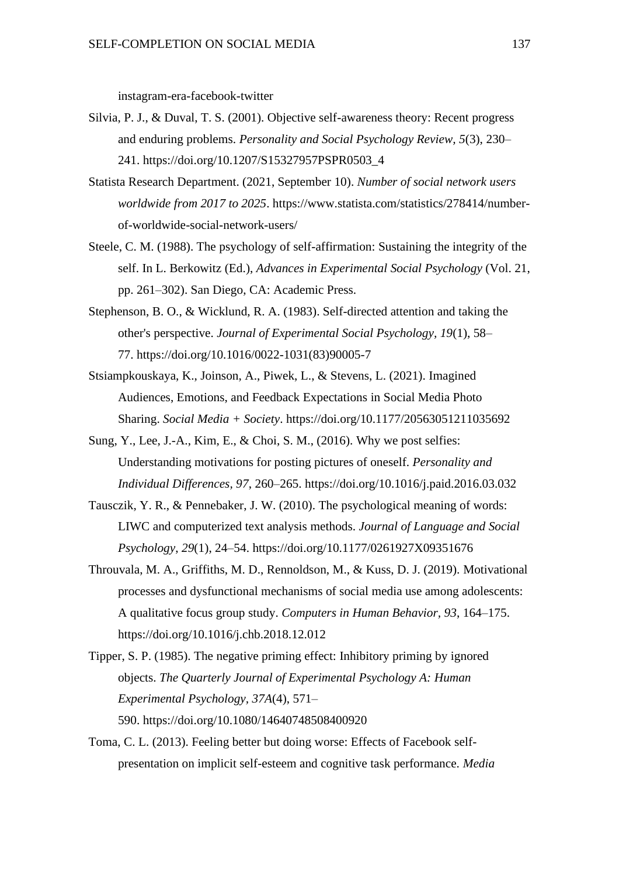instagram-era-facebook-twitter

- Silvia, P. J., & Duval, T. S. (2001). Objective self-awareness theory: Recent progress and enduring problems. *Personality and Social Psychology Review, 5*(3), 230– 241. [https://doi.org/10.1207/S15327957PSPR0503\\_4](https://doi.org/10.1207/S15327957PSPR0503_4)
- Statista Research Department. (2021, September 10). *Number of social network users worldwide from 2017 to 2025*. https://www.statista.com/statistics/278414/numberof-worldwide-social-network-users/
- Steele, C. M. (1988). The psychology of self-affirmation: Sustaining the integrity of the self. In L. Berkowitz (Ed.), *Advances in Experimental Social Psychology* (Vol. 21, pp. 261–302). San Diego, CA: Academic Press.
- Stephenson, B. O., & Wicklund, R. A. (1983). Self-directed attention and taking the other's perspective. *Journal of Experimental Social Psychology, 19*(1), 58– 77. [https://doi.org/10.1016/0022-1031\(83\)90005-7](https://psycnet.apa.org/doi/10.1016/0022-1031(83)90005-7)
- Stsiampkouskaya, K., Joinson, A., Piwek, L., & Stevens, L. (2021). Imagined Audiences, Emotions, and Feedback Expectations in Social Media Photo Sharing. *Social Media + Society*. <https://doi.org/10.1177/20563051211035692>
- Sung, Y., Lee, J.-A., Kim, E., & Choi, S. M., (2016). Why we post selfies: Understanding motivations for posting pictures of oneself. *Personality and Individual Differences, 97*, 260–265. https://doi.org/10.1016/j.paid.2016.03.032
- Tausczik, Y. R., & Pennebaker, J. W. (2010). The psychological meaning of words: LIWC and computerized text analysis methods. *Journal of Language and Social Psychology*, *29*(1), 24–54. [https://doi.org/10.1177/0261927X09351676](https://doi:10.1177/0261927X09351676)
- Throuvala, M. A., Griffiths, M. D., Rennoldson, M., & Kuss, D. J. (2019). Motivational processes and dysfunctional mechanisms of social media use among adolescents: A qualitative focus group study. *Computers in Human Behavior, 93*, 164–175. https://doi.org/10.1016/j.chb.2018.12.012
- Tipper, S. P. (1985). The negative priming effect: Inhibitory priming by ignored objects. *The Quarterly Journal of Experimental Psychology A: Human Experimental Psychology, 37A*(4), 571– 590. [https://doi.org/10.1080/14640748508400920](https://psycnet.apa.org/doi/10.1080/14640748508400920)
- Toma, C. L. (2013). Feeling better but doing worse: Effects of Facebook selfpresentation on implicit self-esteem and cognitive task performance. *Media*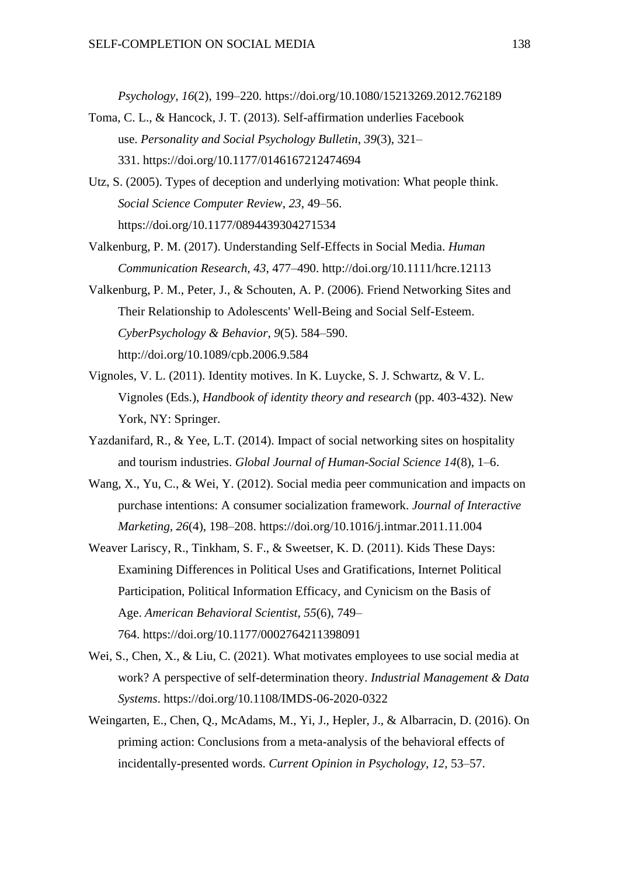*Psychology, 16*(2), 199–220. https://doi.org/10.1080/15213269.2012.762189

- Toma, C. L., & Hancock, J. T. (2013). Self-affirmation underlies Facebook use. *Personality and Social Psychology Bulletin*, *39*(3), 321– 331. <https://doi.org/10.1177/0146167212474694>
- Utz, S. (2005). Types of deception and underlying motivation: What people think. *Social Science Computer Review*, *23*, 49–56. https://doi.org/10.1177/0894439304271534
- Valkenburg, P. M. (2017). Understanding Self-Effects in Social Media. *Human Communication Research, 43*, 477–490. http://doi.org/10.1111/hcre.12113
- Valkenburg, P. M., Peter, J., & Schouten, A. P. (2006). Friend Networking Sites and Their Relationship to Adolescents' Well-Being and Social Self-Esteem. *CyberPsychology & Behavior, 9*(5). 584–590. <http://doi.org/10.1089/cpb.2006.9.584>
- Vignoles, V. L. (2011). Identity motives. In K. Luycke, S. J. Schwartz, & V. L. Vignoles (Eds.), *Handbook of identity theory and research* (pp. 403-432). New York, NY: Springer.
- Yazdanifard, R., & Yee, L.T. (2014). Impact of social networking sites on hospitality and tourism industries. *Global Journal of Human-Social Science 14*(8), 1–6.
- Wang, X., Yu, C., & Wei, Y. (2012). Social media peer communication and impacts on purchase intentions: A consumer socialization framework. *Journal of Interactive Marketing, 26*(4), 198–208. https://doi.org/10.1016/j.intmar.2011.11.004
- Weaver Lariscy, R., Tinkham, S. F., & Sweetser, K. D. (2011). Kids These Days: Examining Differences in Political Uses and Gratifications, Internet Political Participation, Political Information Efficacy, and Cynicism on the Basis of Age. *American Behavioral Scientist*, *55*(6), 749– 764. <https://doi.org/10.1177/0002764211398091>
- Wei, S., Chen, X., & Liu, C. (2021). What motivates employees to use social media at work? A perspective of self-determination theory. *Industrial Management & Data Systems*. https://doi.org/10.1108/IMDS-06-2020-0322
- Weingarten, E., Chen, Q., McAdams, M., Yi, J., Hepler, J., & Albarracin, D. (2016). On priming action: Conclusions from a meta-analysis of the behavioral effects of incidentally-presented words. *Current Opinion in Psychology, 12*, 53–57.